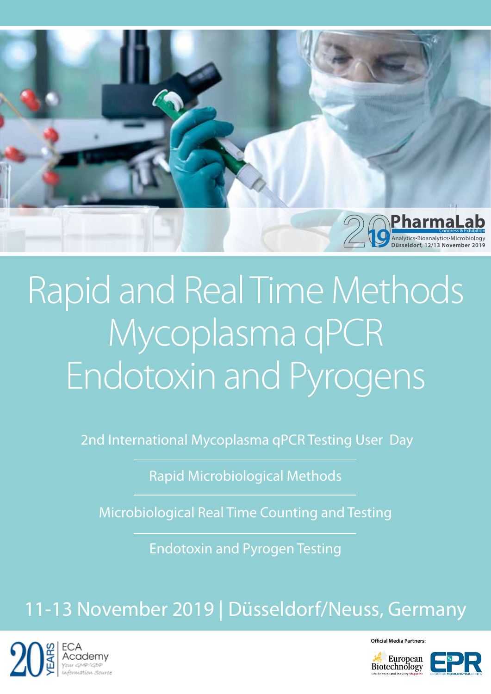

# Rapid and Real Time Methods Mycoplasma qPCR Endotoxin and Pyrogens

2nd International Mycoplasma qPCR Testing User Day

Rapid Microbiological Methods

Microbiological Real Time Counting and Testing

Endotoxin and Pyrogen Testing

## 11-13 November 2019 | Düsseldorf/Neuss, Germany



**Official Media Partners:** European<br>Biotechnology

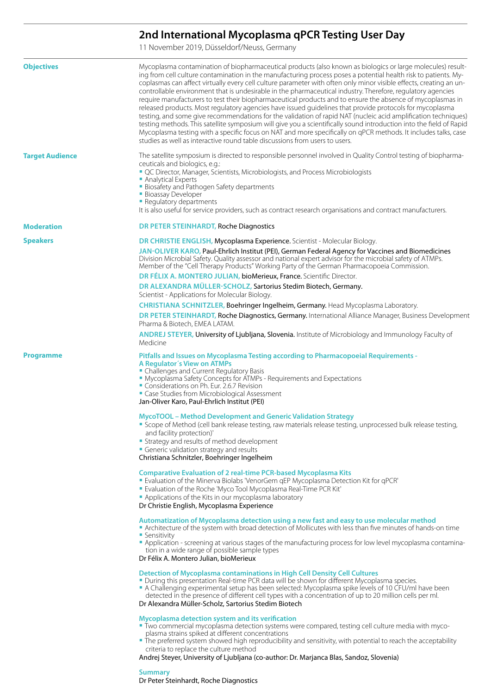### **2nd International Mycoplasma qPCR Testing User Day**

11 November 2019, Düsseldorf/Neuss, Germany

| <b>Objectives</b>      | Mycoplasma contamination of biopharmaceutical products (also known as biologics or large molecules) result-<br>ing from cell culture contamination in the manufacturing process poses a potential health risk to patients. My-<br>coplasmas can affect virtually every cell culture parameter with often only minor visible effects, creating an un-<br>controllable environment that is undesirable in the pharmaceutical industry. Therefore, regulatory agencies<br>require manufacturers to test their biopharmaceutical products and to ensure the absence of mycoplasmas in<br>released products. Most regulatory agencies have issued guidelines that provide protocols for mycoplasma<br>testing, and some give recommendations for the validation of rapid NAT (nucleic acid amplification techniques)<br>testing methods. This satellite symposium will give you a scientifically sound introduction into the field of Rapid<br>Mycoplasma testing with a specific focus on NAT and more specifically on qPCR methods. It includes talks, case<br>studies as well as interactive round table discussions from users to users. |
|------------------------|-----------------------------------------------------------------------------------------------------------------------------------------------------------------------------------------------------------------------------------------------------------------------------------------------------------------------------------------------------------------------------------------------------------------------------------------------------------------------------------------------------------------------------------------------------------------------------------------------------------------------------------------------------------------------------------------------------------------------------------------------------------------------------------------------------------------------------------------------------------------------------------------------------------------------------------------------------------------------------------------------------------------------------------------------------------------------------------------------------------------------------------------|
| <b>Target Audience</b> | The satellite symposium is directed to responsible personnel involved in Quality Control testing of biopharma-<br>ceuticals and biologics, e.g.:                                                                                                                                                                                                                                                                                                                                                                                                                                                                                                                                                                                                                                                                                                                                                                                                                                                                                                                                                                                        |
|                        | " QC Director, Manager, Scientists, Microbiologists, and Process Microbiologists<br>Analytical Experts                                                                                                                                                                                                                                                                                                                                                                                                                                                                                                                                                                                                                                                                                                                                                                                                                                                                                                                                                                                                                                  |
|                        | <b>Biosafety and Pathogen Safety departments</b><br><b>Bioassay Developer</b><br>• Regulatory departments                                                                                                                                                                                                                                                                                                                                                                                                                                                                                                                                                                                                                                                                                                                                                                                                                                                                                                                                                                                                                               |
|                        | It is also useful for service providers, such as contract research organisations and contract manufacturers.                                                                                                                                                                                                                                                                                                                                                                                                                                                                                                                                                                                                                                                                                                                                                                                                                                                                                                                                                                                                                            |
| <b>Moderation</b>      | <b>DR PETER STEINHARDT, Roche Diagnostics</b>                                                                                                                                                                                                                                                                                                                                                                                                                                                                                                                                                                                                                                                                                                                                                                                                                                                                                                                                                                                                                                                                                           |
| <b>Speakers</b>        | <b>DR CHRISTIE ENGLISH, Mycoplasma Experience.</b> Scientist - Molecular Biology.                                                                                                                                                                                                                                                                                                                                                                                                                                                                                                                                                                                                                                                                                                                                                                                                                                                                                                                                                                                                                                                       |
|                        | JAN-OLIVER KARO, Paul-Ehrlich Institut (PEI), German Federal Agency for Vaccines and Biomedicines<br>Division Microbial Safety. Quality assessor and national expert advisor for the microbial safety of ATMPs.<br>Member of the "Cell Therapy Products" Working Party of the German Pharmacopoeia Commission.                                                                                                                                                                                                                                                                                                                                                                                                                                                                                                                                                                                                                                                                                                                                                                                                                          |
|                        | DR FÉLIX A. MONTERO JULIAN, bioMerieux, France. Scientific Director.                                                                                                                                                                                                                                                                                                                                                                                                                                                                                                                                                                                                                                                                                                                                                                                                                                                                                                                                                                                                                                                                    |
|                        | DR ALEXANDRA MÜLLER-SCHOLZ, Sartorius Stedim Biotech, Germany.<br>Scientist - Applications for Molecular Biology.                                                                                                                                                                                                                                                                                                                                                                                                                                                                                                                                                                                                                                                                                                                                                                                                                                                                                                                                                                                                                       |
|                        | CHRISTIANA SCHNITZLER, Boehringer Ingelheim, Germany. Head Mycoplasma Laboratory.                                                                                                                                                                                                                                                                                                                                                                                                                                                                                                                                                                                                                                                                                                                                                                                                                                                                                                                                                                                                                                                       |
|                        | DR PETER STEINHARDT, Roche Diagnostics, Germany. International Alliance Manager, Business Development<br>Pharma & Biotech, EMEA LATAM.                                                                                                                                                                                                                                                                                                                                                                                                                                                                                                                                                                                                                                                                                                                                                                                                                                                                                                                                                                                                  |
|                        | ANDREJ STEYER, University of Ljubljana, Slovenia. Institute of Microbiology and Immunology Faculty of<br>Medicine                                                                                                                                                                                                                                                                                                                                                                                                                                                                                                                                                                                                                                                                                                                                                                                                                                                                                                                                                                                                                       |
| <b>Programme</b>       | Pitfalls and Issues on Mycoplasma Testing according to Pharmacopoeial Requirements -<br><b>A Regulator's View on ATMPs</b><br>• Challenges and Current Regulatory Basis<br>• Mycoplasma Safety Concepts for ATMPs - Requirements and Expectations<br>Considerations on Ph. Eur. 2.6.7 Revision<br>Case Studies from Microbiological Assessment<br>Jan-Oliver Karo, Paul-Ehrlich Institut (PEI)                                                                                                                                                                                                                                                                                                                                                                                                                                                                                                                                                                                                                                                                                                                                          |
|                        | MycoTOOL - Method Development and Generic Validation Strategy<br>" Scope of Method (cell bank release testing, raw materials release testing, unprocessed bulk release testing,<br>and facility protection)'<br>Strategy and results of method development<br>• Generic validation strategy and results<br>Christiana Schnitzler, Boehringer Ingelheim                                                                                                                                                                                                                                                                                                                                                                                                                                                                                                                                                                                                                                                                                                                                                                                  |
|                        | <b>Comparative Evaluation of 2 real-time PCR-based Mycoplasma Kits</b><br>" Evaluation of the Minerva Biolabs 'VenorGem gEP Mycoplasma Detection Kit for gPCR'<br>" Evaluation of the Roche 'Myco Tool Mycoplasma Real-Time PCR Kit'<br>• Applications of the Kits in our mycoplasma laboratory<br>Dr Christie English, Mycoplasma Experience                                                                                                                                                                                                                                                                                                                                                                                                                                                                                                                                                                                                                                                                                                                                                                                           |
|                        | Automatization of Mycoplasma detection using a new fast and easy to use molecular method<br>Architecture of the system with broad detection of Mollicutes with less than five minutes of hands-on time<br>• Sensitivity<br>Application - screening at various stages of the manufacturing process for low level mycoplasma contamina-<br>tion in a wide range of possible sample types                                                                                                                                                                                                                                                                                                                                                                                                                                                                                                                                                                                                                                                                                                                                                  |
|                        | Dr Félix A. Montero Julian, bioMerieux                                                                                                                                                                                                                                                                                                                                                                                                                                                                                                                                                                                                                                                                                                                                                                                                                                                                                                                                                                                                                                                                                                  |
|                        | Detection of Mycoplasma contaminations in High Cell Density Cell Cultures<br>" During this presentation Real-time PCR data will be shown for different Mycoplasma species.<br>A Challenging experimental setup has been selected: Mycoplasma spike levels of 10 CFU/ml have been<br>detected in the presence of different cell types with a concentration of up to 20 million cells per ml.<br>Dr Alexandra Müller-Scholz, Sartorius Stedim Biotech                                                                                                                                                                                                                                                                                                                                                                                                                                                                                                                                                                                                                                                                                     |
|                        | Mycoplasma detection system and its verification<br>" Two commercial mycoplasma detection systems were compared, testing cell culture media with myco-<br>plasma strains spiked at different concentrations<br>• The preferred system showed high reproducibility and sensitivity, with potential to reach the acceptability<br>criteria to replace the culture method                                                                                                                                                                                                                                                                                                                                                                                                                                                                                                                                                                                                                                                                                                                                                                  |

Andrej Steyer, University of Ljubljana (co-author: Dr. Marjanca Blas, Sandoz, Slovenia)

**Summary**

Dr Peter Steinhardt, Roche Diagnostics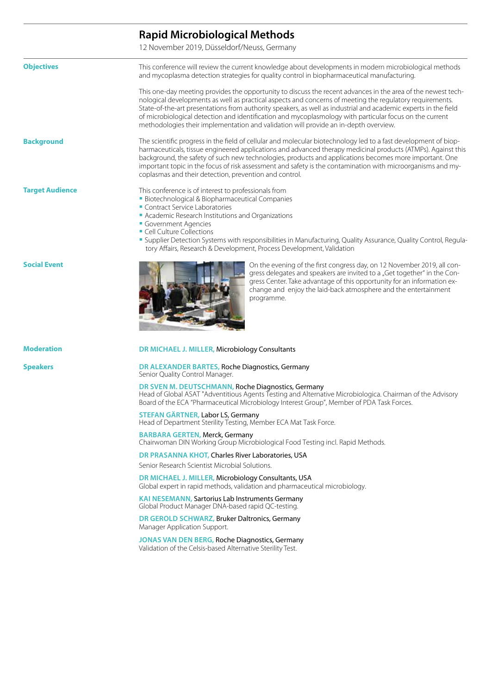### This conference will review the current knowledge about developments in modern microbiological methods and mycoplasma detection strategies for quality control in biopharmaceutical manufacturing. This one-day meeting provides the opportunity to discuss the recent advances in the area of the newest technological developments as well as practical aspects and concerns of meeting the regulatory requirements. State-of-the-art presentations from authority speakers, as well as industrial and academic experts in the field of microbiological detection and identification and mycoplasmology with particular focus on the current methodologies their implementation and validation will provide an in-depth overview. The scientific progress in the field of cellular and molecular biotechnology led to a fast development of biopharmaceuticals, tissue engineered applications and advanced therapy medicinal products (ATMPs). Against this background, the safety of such new technologies, products and applications becomes more important. One important topic in the focus of risk assessment and safety is the contamination with microorganisms and mycoplasmas and their detection, prevention and control. This conference is of interest to professionals from Biotechnological & Biopharmaceutical Companies **Contract Service Laboratories**  Academic Research Institutions and Organizations **Government Agencies Cell Culture Collections**  Supplier Detection Systems with responsibilities in Manufacturing, Quality Assurance, Quality Control, Regulatory Affairs, Research & Development, Process Development, Validation On the evening of the first congress day, on 12 November 2019, all congress delegates and speakers are invited to a "Get together" in the Congress Center. Take advantage of this opportunity for an information exchange and enjoy the laid-back atmosphere and the entertainment programme. **DR MICHAEL J. MILLER,** Microbiology Consultants **DR ALEXANDER BARTES,** Roche Diagnostics, Germany Senior Quality Control Manager. **DR SVEN M. DEUTSCHMANN,** Roche Diagnostics, Germany Head of Global ASAT "Adventitious Agents Testing and Alternative Microbiologica. Chairman of the Advisory Board of the ECA "Pharmaceutical Microbiology Interest Group", Member of PDA Task Forces. **STEFAN GÄRTNER,** Labor LS, Germany Head of Department Sterility Testing, Member ECA Mat Task Force. **BARBARA GERTEN,** Merck, Germany Chairwoman DIN Working Group Microbiological Food Testing incl. Rapid Methods. **DR PRASANNA KHOT,** Charles River Laboratories, USA Senior Research Scientist Microbial Solutions. **DR MICHAEL J. MILLER,** Microbiology Consultants, USA Global expert in rapid methods, validation and pharmaceutical microbiology. **KAI NESEMANN,** Sartorius Lab Instruments Germany Global Product Manager DNA-based rapid QC-testing. **DR GEROLD SCHWARZ,** Bruker Daltronics, Germany Manager Application Support. **JONAS VAN DEN BERG,** Roche Diagnostics, Germany Validation of the Celsis-based Alternative Sterility Test. **Objectives Background Target Audience Social Event Moderation Speakers Rapid Microbiological Methods** 12 November 2019, Düsseldorf/Neuss, Germany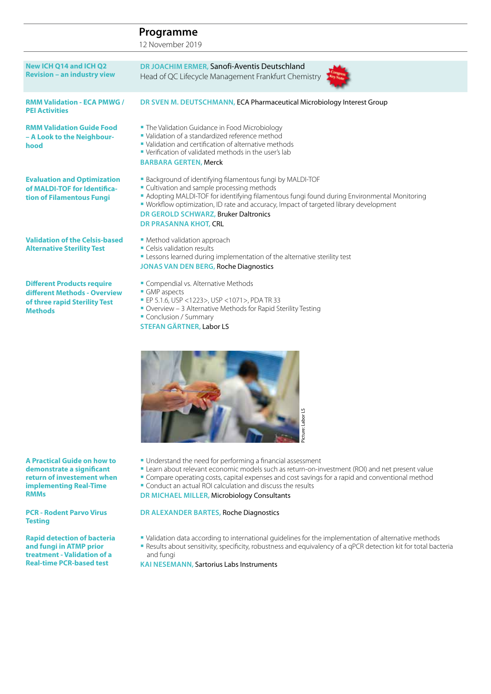12 November 2019

| New ICH Q14 and ICH Q2<br><b>Revision - an industry view</b>                                                         | DR JOACHIM ERMER, Sanofi-Aventis Deutschland<br>Head of QC Lifecycle Management Frankfurt Chemistry                                                                                                                                                                                                                                                                      |
|----------------------------------------------------------------------------------------------------------------------|--------------------------------------------------------------------------------------------------------------------------------------------------------------------------------------------------------------------------------------------------------------------------------------------------------------------------------------------------------------------------|
| <b>RMM Validation - ECA PMWG /</b><br><b>PEI Activities</b>                                                          | DR SVEN M. DEUTSCHMANN, ECA Pharmaceutical Microbiology Interest Group                                                                                                                                                                                                                                                                                                   |
| <b>RMM Validation Guide Food</b><br>- A Look to the Neighbour-<br>hood                                               | • The Validation Guidance in Food Microbiology<br>• Validation of a standardized reference method<br>• Validation and certification of alternative methods<br>• Verification of validated methods in the user's lab<br><b>BARBARA GERTEN, Merck</b>                                                                                                                      |
| <b>Evaluation and Optimization</b><br>of MALDI-TOF for Identifica-<br>tion of Filamentous Fungi                      | • Background of identifying filamentous fungi by MALDI-TOF<br>• Cultivation and sample processing methods<br>Adopting MALDI-TOF for identifying filamentous fungi found during Environmental Monitoring<br>• Workflow optimization, ID rate and accuracy, Impact of targeted library development<br>DR GEROLD SCHWARZ, Bruker Daltronics<br><b>DR PRASANNA KHOT, CRL</b> |
| <b>Validation of the Celsis-based</b><br><b>Alternative Sterility Test</b>                                           | • Method validation approach<br>• Celsis validation results<br>" Lessons learned during implementation of the alternative sterility test<br><b>JONAS VAN DEN BERG, Roche Diagnostics</b>                                                                                                                                                                                 |
| <b>Different Products require</b><br>different Methods - Overview<br>of three rapid Sterility Test<br><b>Methods</b> | Compendial vs. Alternative Methods<br>• GMP aspects<br>• EP 5.1.6, USP <1223>, USP <1071>, PDA TR 33<br>Overview - 3 Alternative Methods for Rapid Sterility Testing<br>Conclusion / Summary                                                                                                                                                                             |

**STEFAN GÄRTNER,** Labor LS



- Understand the need for performing a financial assessment
- Learn about relevant economic models such as return-on-investment (ROI) and net present value
- **Compare operating costs, capital expenses and cost savings for a rapid and conventional method**
- Conduct an actual ROI calculation and discuss the results

**DR MICHAEL MILLER,** Microbiology Consultants

### **DR ALEXANDER BARTES,** Roche Diagnostics

- Validation data according to international guidelines for the implementation of alternative methods
- Results about sensitivity, specificity, robustness and equivalency of a qPCR detection kit for total bacteria and fungi

**KAI NESEMANN,** Sartorius Labs Instruments

**A Practical Guide on how to demonstrate a significant return of investement when implementing Real-Time RMMs**

**PCR - Rodent Parvo Virus Testing**

**Rapid detection of bacteria and fungi in ATMP prior treatment - Validation of a Real-time PCR-based test**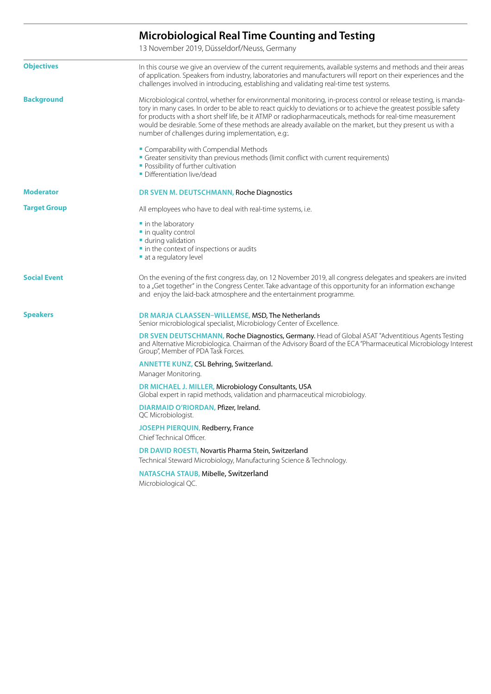### **Microbiological Real Time Counting and Testing**

13 November 2019, Düsseldorf/Neuss, Germany

| <b>Objectives</b>   | In this course we give an overview of the current requirements, available systems and methods and their areas<br>of application. Speakers from industry, laboratories and manufacturers will report on their experiences and the<br>challenges involved in introducing, establishing and validating real-time test systems.                                                                                                                                                                                         |
|---------------------|---------------------------------------------------------------------------------------------------------------------------------------------------------------------------------------------------------------------------------------------------------------------------------------------------------------------------------------------------------------------------------------------------------------------------------------------------------------------------------------------------------------------|
| <b>Background</b>   | Microbiological control, whether for environmental monitoring, in-process control or release testing, is manda-<br>tory in many cases. In order to be able to react quickly to deviations or to achieve the greatest possible safety<br>for products with a short shelf life, be it ATMP or radiopharmaceuticals, methods for real-time measurement<br>would be desirable. Some of these methods are already available on the market, but they present us with a<br>number of challenges during implementation, e.g |
|                     | " Comparability with Compendial Methods<br>Greater sensitivity than previous methods (limit conflict with current requirements)<br>• Possibility of further cultivation<br>• Differentiation live/dead                                                                                                                                                                                                                                                                                                              |
| <b>Moderator</b>    | DR SVEN M. DEUTSCHMANN, Roche Diagnostics                                                                                                                                                                                                                                                                                                                                                                                                                                                                           |
| <b>Target Group</b> | All employees who have to deal with real-time systems, i.e.                                                                                                                                                                                                                                                                                                                                                                                                                                                         |
|                     | ■ in the laboratory<br>· in quality control<br>during validation<br>In the context of inspections or audits<br>at a regulatory level                                                                                                                                                                                                                                                                                                                                                                                |
| <b>Social Event</b> | On the evening of the first congress day, on 12 November 2019, all congress delegates and speakers are invited<br>to a "Get together" in the Congress Center. Take advantage of this opportunity for an information exchange<br>and enjoy the laid-back atmosphere and the entertainment programme.                                                                                                                                                                                                                 |
| <b>Speakers</b>     | DR MARJA CLAASSEN-WILLEMSE, MSD, The Netherlands<br>Senior microbiological specialist, Microbiology Center of Excellence.                                                                                                                                                                                                                                                                                                                                                                                           |
|                     | DR SVEN DEUTSCHMANN, Roche Diagnostics, Germany. Head of Global ASAT "Adventitious Agents Testing<br>and Alternative Microbiologica. Chairman of the Advisory Board of the ECA "Pharmaceutical Microbiology Interest<br>Group", Member of PDA Task Forces.                                                                                                                                                                                                                                                          |
|                     | ANNETTE KUNZ, CSL Behring, Switzerland.<br>Manager Monitoring.                                                                                                                                                                                                                                                                                                                                                                                                                                                      |
|                     | DR MICHAEL J. MILLER, Microbiology Consultants, USA<br>Global expert in rapid methods, validation and pharmaceutical microbiology.                                                                                                                                                                                                                                                                                                                                                                                  |
|                     | DIARMAID O'RIORDAN, Pfizer, Ireland.<br>QC Microbiologist.                                                                                                                                                                                                                                                                                                                                                                                                                                                          |
|                     | JOSEPH PIERQUIN, Redberry, France<br>Chief Technical Officer.                                                                                                                                                                                                                                                                                                                                                                                                                                                       |
|                     | DR DAVID ROESTI, Novartis Pharma Stein, Switzerland<br>Technical Steward Microbiology, Manufacturing Science & Technology.                                                                                                                                                                                                                                                                                                                                                                                          |
|                     | NATASCHA STAUB, Mibelle, Switzerland<br>Microbiological QC.                                                                                                                                                                                                                                                                                                                                                                                                                                                         |
|                     |                                                                                                                                                                                                                                                                                                                                                                                                                                                                                                                     |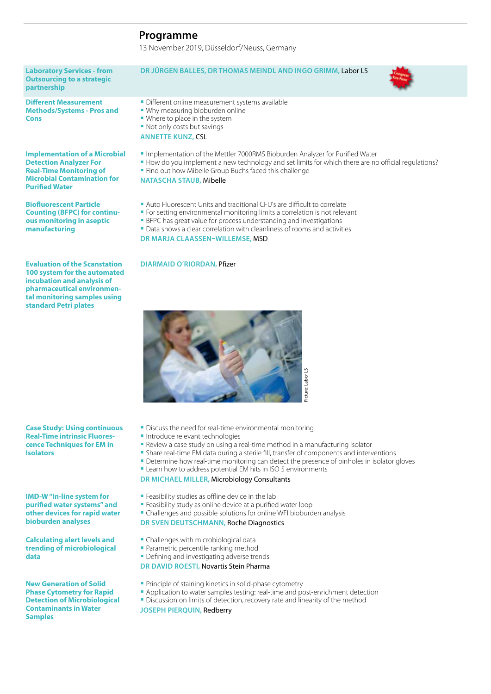13 November 2019, Düsseldorf/Neuss, Germany

**Laboratory Services - from Outsourcing to a strategic partnership DR JÜRGEN BALLES, DR THOMAS MEINDL AND INGO GRIMM,** Labor LS **Different Measurement Methods/Systems - Pros and Cons** Different online measurement systems available Why measuring bioburden online **Where to place in the system** • Not only costs but savings **ANNETTE KUNZ,** CSL **Implementation of a Microbial Detection Analyzer For Real-Time Monitoring of Microbial Contamination for Purified Water** Implementation of the Mettler 7000RMS Bioburden Analyzer for Purified Water How do you implement a new technology and set limits for which there are no official regulations? Find out how Mibelle Group Buchs faced this challenge **NATASCHA STAUB,** Mibelle **Biofluorescent Particle Counting (BFPC) for continuous monitoring in aseptic manufacturing** Auto Fluorescent Units and traditional CFU's are difficult to correlate **For setting environmental monitoring limits a correlation is not relevant BFPC has great value for process understanding and investigations Data shows a clear correlation with cleanliness of rooms and activities DR MARJA CLAASSEN–WILLEMSE,** MSD **Evaluation of the Scanstation 100 system for the automated incubation and analysis of DIARMAID O'RIORDAN,** Pfizer



**Case Study: Using continuous Real-Time intrinsic Fluorescence Techniques for EM in Isolators**

**pharmaceutical environmental monitoring samples using standard Petri plates**

**IMD-W "In-line system for purified water systems" and other devices for rapid water bioburden analyses**

**Calculating alert levels and trending of microbiological data**

**New Generation of Solid Phase Cytometry for Rapid Detection of Microbiological Contaminants in Water Samples**

- **Discuss the need for real-time environmental monitoring**
- **Introduce relevant technologies**
- Review a case study on using a real-time method in a manufacturing isolator
- Share real-time EM data during a sterile fill, transfer of components and interventions
- Determine how real-time monitoring can detect the presence of pinholes in isolator gloves
- **-** Learn how to address potential EM hits in ISO 5 environments

### **DR MICHAEL MILLER,** Microbiology Consultants

- **Feasibility studies as offline device in the lab**
- **Feasibility study as online device at a purified water loop**
- Challenges and possible solutions for online WFI bioburden analysis

#### **DR SVEN DEUTSCHMANN,** Roche Diagnostics

- **Challenges with microbiological data**
- **Parametric percentile ranking method**
- **Defining and investigating adverse trends**

### **DR DAVID ROESTI,** Novartis Stein Pharma

- **Principle of staining kinetics in solid-phase cytometry**
- Application to water samples testing: real-time and post-enrichment detection
- **Discussion on limits of detection, recovery rate and linearity of the method**

**JOSEPH PIERQUIN,** Redberry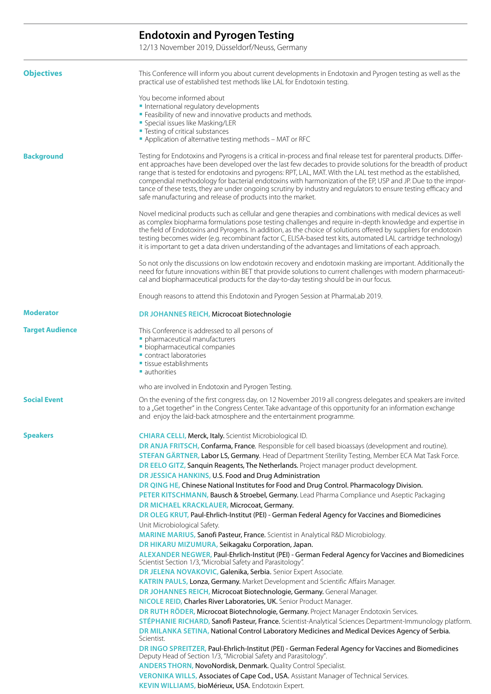### **Endotoxin and Pyrogen Testing**

12/13 November 2019, Düsseldorf/Neuss, Germany

| <b>Objectives</b>      | This Conference will inform you about current developments in Endotoxin and Pyrogen testing as well as the<br>practical use of established test methods like LAL for Endotoxin testing.                                                                                                                                                                                                                                                                                                                                                                                                                                                                                                                                                                                                                                                                                                                                                                                                                                                                                                                                                                                                                                                                                                                                                                                                                                                                                                                                                                                                                                                                                                                                                                                                                                                                                                                                             |
|------------------------|-------------------------------------------------------------------------------------------------------------------------------------------------------------------------------------------------------------------------------------------------------------------------------------------------------------------------------------------------------------------------------------------------------------------------------------------------------------------------------------------------------------------------------------------------------------------------------------------------------------------------------------------------------------------------------------------------------------------------------------------------------------------------------------------------------------------------------------------------------------------------------------------------------------------------------------------------------------------------------------------------------------------------------------------------------------------------------------------------------------------------------------------------------------------------------------------------------------------------------------------------------------------------------------------------------------------------------------------------------------------------------------------------------------------------------------------------------------------------------------------------------------------------------------------------------------------------------------------------------------------------------------------------------------------------------------------------------------------------------------------------------------------------------------------------------------------------------------------------------------------------------------------------------------------------------------|
|                        | You become informed about<br>International regulatory developments<br>" Feasibility of new and innovative products and methods.<br>• Special issues like Masking/LER<br>" Testing of critical substances<br>Application of alternative testing methods - MAT or RFC                                                                                                                                                                                                                                                                                                                                                                                                                                                                                                                                                                                                                                                                                                                                                                                                                                                                                                                                                                                                                                                                                                                                                                                                                                                                                                                                                                                                                                                                                                                                                                                                                                                                 |
| <b>Background</b>      | Testing for Endotoxins and Pyrogens is a critical in-process and final release test for parenteral products. Differ-<br>ent approaches have been developed over the last few decades to provide solutions for the breadth of product<br>range that is tested for endotoxins and pyrogens: RPT, LAL, MAT. With the LAL test method as the established,<br>compendial methodology for bacterial endotoxins with harmonization of the EP, USP and JP. Due to the impor-<br>tance of these tests, they are under ongoing scrutiny by industry and regulators to ensure testing efficacy and<br>safe manufacturing and release of products into the market.                                                                                                                                                                                                                                                                                                                                                                                                                                                                                                                                                                                                                                                                                                                                                                                                                                                                                                                                                                                                                                                                                                                                                                                                                                                                              |
|                        | Novel medicinal products such as cellular and gene therapies and combinations with medical devices as well<br>as complex biopharma formulations pose testing challenges and require in-depth knowledge and expertise in<br>the field of Endotoxins and Pyrogens. In addition, as the choice of solutions offered by suppliers for endotoxin<br>testing becomes wider (e.g. recombinant factor C, ELISA-based test kits, automated LAL cartridge technology)<br>it is important to get a data driven understanding of the advantages and limitations of each approach.                                                                                                                                                                                                                                                                                                                                                                                                                                                                                                                                                                                                                                                                                                                                                                                                                                                                                                                                                                                                                                                                                                                                                                                                                                                                                                                                                               |
|                        | So not only the discussions on low endotoxin recovery and endotoxin masking are important. Additionally the<br>need for future innovations within BET that provide solutions to current challenges with modern pharmaceuti-<br>cal and biopharmaceutical products for the day-to-day testing should be in our focus.                                                                                                                                                                                                                                                                                                                                                                                                                                                                                                                                                                                                                                                                                                                                                                                                                                                                                                                                                                                                                                                                                                                                                                                                                                                                                                                                                                                                                                                                                                                                                                                                                |
|                        | Enough reasons to attend this Endotoxin and Pyrogen Session at PharmaLab 2019.                                                                                                                                                                                                                                                                                                                                                                                                                                                                                                                                                                                                                                                                                                                                                                                                                                                                                                                                                                                                                                                                                                                                                                                                                                                                                                                                                                                                                                                                                                                                                                                                                                                                                                                                                                                                                                                      |
| <b>Moderator</b>       | DR JOHANNES REICH, Microcoat Biotechnologie                                                                                                                                                                                                                                                                                                                                                                                                                                                                                                                                                                                                                                                                                                                                                                                                                                                                                                                                                                                                                                                                                                                                                                                                                                                                                                                                                                                                                                                                                                                                                                                                                                                                                                                                                                                                                                                                                         |
| <b>Target Audience</b> | This Conference is addressed to all persons of<br>· pharmaceutical manufacturers<br>· biopharmaceutical companies<br>Contract laboratories<br>• tissue establishments<br>• authorities                                                                                                                                                                                                                                                                                                                                                                                                                                                                                                                                                                                                                                                                                                                                                                                                                                                                                                                                                                                                                                                                                                                                                                                                                                                                                                                                                                                                                                                                                                                                                                                                                                                                                                                                              |
|                        | who are involved in Endotoxin and Pyrogen Testing.                                                                                                                                                                                                                                                                                                                                                                                                                                                                                                                                                                                                                                                                                                                                                                                                                                                                                                                                                                                                                                                                                                                                                                                                                                                                                                                                                                                                                                                                                                                                                                                                                                                                                                                                                                                                                                                                                  |
| <b>Social Event</b>    | On the evening of the first congress day, on 12 November 2019 all congress delegates and speakers are invited<br>to a "Get together" in the Congress Center. Take advantage of this opportunity for an information exchange<br>and enjoy the laid-back atmosphere and the entertainment programme.                                                                                                                                                                                                                                                                                                                                                                                                                                                                                                                                                                                                                                                                                                                                                                                                                                                                                                                                                                                                                                                                                                                                                                                                                                                                                                                                                                                                                                                                                                                                                                                                                                  |
| <b>Speakers</b>        | <b>CHIARA CELLI, Merck, Italy.</b> Scientist Microbiological ID.<br>DR ANJA FRITSCH, Confarma, France. Responsible for cell based bioassays (development and routine).<br>STEFAN GÄRTNER, Labor LS, Germany. Head of Department Sterility Testing, Member ECA Mat Task Force.<br>DR EELO GITZ, Sanquin Reagents, The Netherlands. Project manager product development.<br>DR JESSICA HANKINS, U.S. Food and Drug Administration<br>DR QING HE, Chinese National Institutes for Food and Drug Control. Pharmacology Division.<br>PETER KITSCHMANN, Bausch & Stroebel, Germany. Lead Pharma Compliance und Aseptic Packaging<br>DR MICHAEL KRACKLAUER, Microcoat, Germany.<br>DR OLEG KRUT, Paul-Ehrlich-Institut (PEI) - German Federal Agency for Vaccines and Biomedicines<br>Unit Microbiological Safety.<br>MARINE MARIUS, Sanofi Pasteur, France. Scientist in Analytical R&D Microbiology.<br>DR HIKARU MIZUMURA, Seikagaku Corporation, Japan.<br>ALEXANDER NEGWER, Paul-Ehrlich-Institut (PEI) - German Federal Agency for Vaccines and Biomedicines<br>Scientist Section 1/3, "Microbial Safety and Parasitology".<br>DR JELENA NOVAKOVIC, Galenika, Serbia. Senior Expert Associate.<br>KATRIN PAULS, Lonza, Germany. Market Development and Scientific Affairs Manager.<br>DR JOHANNES REICH, Microcoat Biotechnologie, Germany. General Manager.<br>NICOLE REID, Charles River Laboratories, UK. Senior Product Manager.<br>DR RUTH RÖDER, Microcoat Biotechnologie, Germany. Project Manager Endotoxin Services.<br>STÉPHANIE RICHARD, Sanofi Pasteur, France. Scientist-Analytical Sciences Department-Immunology platform<br>DR MILANKA SETINA, National Control Laboratory Medicines and Medical Devices Agency of Serbia.<br>Scientist.<br>DR INGO SPREITZER, Paul-Ehrlich-Institut (PEI) - German Federal Agency for Vaccines and Biomedicines<br>Deputy Head of Section 1/3, "Microbial Safety and Parasitology". |
|                        | ANDERS THORN, NovoNordisk, Denmark. Quality Control Specialist.<br>VERONIKA WILLS, Associates of Cape Cod., USA. Assistant Manager of Technical Services.<br>KEVIN WILLIAMS, bioMérieux, USA. Endotoxin Expert.                                                                                                                                                                                                                                                                                                                                                                                                                                                                                                                                                                                                                                                                                                                                                                                                                                                                                                                                                                                                                                                                                                                                                                                                                                                                                                                                                                                                                                                                                                                                                                                                                                                                                                                     |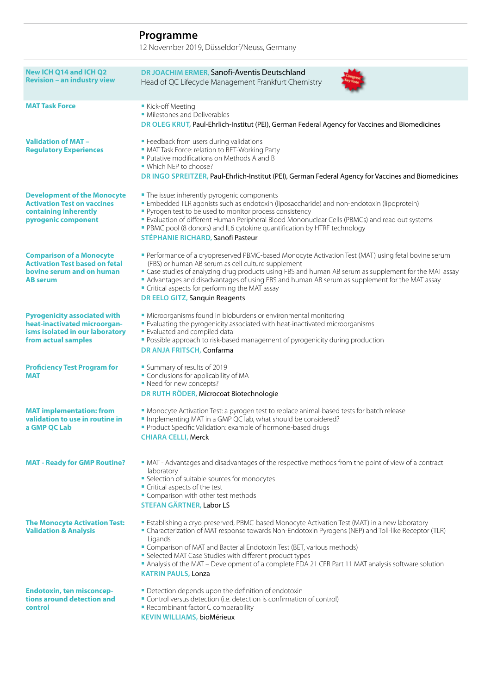12 November 2019, Düsseldorf/Neuss, Germany

| New ICH Q14 and ICH Q2<br><b>Revision - an industry view</b>                                                                  | DR JOACHIM ERMER, Sanofi-Aventis Deutschland<br>Head of QC Lifecycle Management Frankfurt Chemistry                                                                                                                                                                                                                                                                                                                                                                                              |
|-------------------------------------------------------------------------------------------------------------------------------|--------------------------------------------------------------------------------------------------------------------------------------------------------------------------------------------------------------------------------------------------------------------------------------------------------------------------------------------------------------------------------------------------------------------------------------------------------------------------------------------------|
| <b>MAT Task Force</b>                                                                                                         | Kick-off Meeting<br>• Milestones and Deliverables<br>DR OLEG KRUT, Paul-Ehrlich-Institut (PEI), German Federal Agency for Vaccines and Biomedicines                                                                                                                                                                                                                                                                                                                                              |
| <b>Validation of MAT -</b><br><b>Regulatory Experiences</b>                                                                   | • Feedback from users during validations<br>• MAT Task Force: relation to BET-Working Party<br>Putative modifications on Methods A and B<br>• Which NFP to choose?<br>DR INGO SPREITZER, Paul-Ehrlich-Institut (PEI), German Federal Agency for Vaccines and Biomedicines                                                                                                                                                                                                                        |
| <b>Development of the Monocyte</b><br><b>Activation Test on vaccines</b><br>containing inherently<br>pyrogenic component      | • The issue: inherently pyrogenic components<br>" Embedded TLR agonists such as endotoxin (liposaccharide) and non-endotoxin (lipoprotein)<br>• Pyrogen test to be used to monitor process consistency<br>" Evaluation of different Human Peripheral Blood Mononuclear Cells (PBMCs) and read out systems<br>• PBMC pool (8 donors) and IL6 cytokine quantification by HTRF technology<br><b>STÉPHANIE RICHARD, Sanofi Pasteur</b>                                                               |
| <b>Comparison of a Monocyte</b><br><b>Activation Test based on fetal</b><br>bovine serum and on human<br><b>AB</b> serum      | Performance of a cryopreserved PBMC-based Monocyte Activation Test (MAT) using fetal bovine serum<br>(FBS) or human AB serum as cell culture supplement<br>" Case studies of analyzing drug products using FBS and human AB serum as supplement for the MAT assay<br>Advantages and disadvantages of using FBS and human AB serum as supplement for the MAT assay<br>• Critical aspects for performing the MAT assay<br>DR EELO GITZ, Sanquin Reagents                                           |
| <b>Pyrogenicity associated with</b><br>heat-inactivated microorgan-<br>isms isolated in our laboratory<br>from actual samples | • Microorganisms found in bioburdens or environmental monitoring<br>Evaluating the pyrogenicity associated with heat-inactivated microorganisms<br><b>Evaluated and compiled data</b><br>• Possible approach to risk-based management of pyrogenicity during production<br>DR ANJA FRITSCH, Confarma                                                                                                                                                                                             |
| <b>Proficiency Test Program for</b><br><b>MAT</b>                                                                             | • Summary of results of 2019<br>• Conclusions for applicability of MA<br>• Need for new concepts?<br>DR RUTH RÖDER, Microcoat Biotechnologie                                                                                                                                                                                                                                                                                                                                                     |
| <b>MAT</b> implementation: from<br>validation to use in routine in<br>a GMP QC Lab                                            | • Monocyte Activation Test: a pyrogen test to replace animal-based tests for batch release<br>" Implementing MAT in a GMP QC lab, what should be considered?<br>Product Specific Validation: example of hormone-based drugs<br><b>CHIARA CELLI, Merck</b>                                                                                                                                                                                                                                        |
| <b>MAT - Ready for GMP Routine?</b>                                                                                           | • MAT - Advantages and disadvantages of the respective methods from the point of view of a contract<br>laboratory<br>• Selection of suitable sources for monocytes<br>Critical aspects of the test<br>" Comparison with other test methods<br>STEFAN GÄRTNER, Labor LS                                                                                                                                                                                                                           |
| <b>The Monocyte Activation Test:</b><br><b>Validation &amp; Analysis</b>                                                      | <b>Establishing a cryo-preserved, PBMC-based Monocyte Activation Test (MAT) in a new laboratory</b><br>• Characterization of MAT response towards Non-Endotoxin Pyrogens (NEP) and Toll-like Receptor (TLR)<br>Ligands<br>" Comparison of MAT and Bacterial Endotoxin Test (BET, various methods)<br>• Selected MAT Case Studies with different product types<br>Analysis of the MAT - Development of a complete FDA 21 CFR Part 11 MAT analysis software solution<br><b>KATRIN PAULS, Lonza</b> |
| <b>Endotoxin, ten misconcep-</b><br>tions around detection and<br>control                                                     | • Detection depends upon the definition of endotoxin<br>• Control versus detection (i.e. detection is confirmation of control)<br>• Recombinant factor C comparability                                                                                                                                                                                                                                                                                                                           |

**KEVIN WILLIAMS,** bioMérieux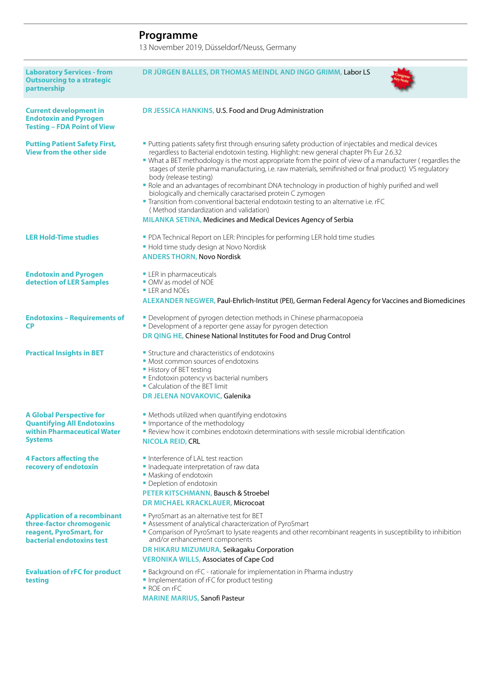13 November 2019, Düsseldorf/Neuss, Germany

| <b>Laboratory Services - from</b><br><b>Outsourcing to a strategic</b><br>partnership                                   | DR JÜRGEN BALLES, DR THOMAS MEINDL AND INGO GRIMM, Labor LS                                                                                                                                                                                                                                                                                                                                                                                                                                                                                                                                                                                                                                                                                                                                                                     |
|-------------------------------------------------------------------------------------------------------------------------|---------------------------------------------------------------------------------------------------------------------------------------------------------------------------------------------------------------------------------------------------------------------------------------------------------------------------------------------------------------------------------------------------------------------------------------------------------------------------------------------------------------------------------------------------------------------------------------------------------------------------------------------------------------------------------------------------------------------------------------------------------------------------------------------------------------------------------|
| <b>Current development in</b><br><b>Endotoxin and Pyrogen</b><br><b>Testing - FDA Point of View</b>                     | DR JESSICA HANKINS, U.S. Food and Drug Administration                                                                                                                                                                                                                                                                                                                                                                                                                                                                                                                                                                                                                                                                                                                                                                           |
| <b>Putting Patient Safety First,</b><br><b>View from the other side</b>                                                 | Putting patients safety first through ensuring safety production of injectables and medical devices<br>regardless to Bacterial endotoxin testing. Highlight: new general chapter Ph Eur 2.6.32<br>" What a BET methodology is the most appropriate from the point of view of a manufacturer (regardles the<br>stages of sterile pharma manufacturing, i.e. raw materials, semifinished or final product) VS regulatory<br>body (release testing)<br>• Role and an advantages of recombinant DNA technology in production of highly purified and well<br>biologically and chemically caractarised protein C zymogen<br>" Transition from conventional bacterial endotoxin testing to an alternative i.e. rFC<br>(Method standardization and validation)<br><b>MILANKA SETINA, Medicines and Medical Devices Agency of Serbia</b> |
| <b>LER Hold-Time studies</b>                                                                                            | • PDA Technical Report on LER: Principles for performing LER hold time studies<br>• Hold time study design at Novo Nordisk<br><b>ANDERS THORN, Novo Nordisk</b>                                                                                                                                                                                                                                                                                                                                                                                                                                                                                                                                                                                                                                                                 |
| <b>Endotoxin and Pyrogen</b><br>detection of LER Samples                                                                | • LER in pharmaceuticals<br>OMV as model of NOE<br><b>- LER and NOEs</b><br>ALEXANDER NEGWER, Paul-Ehrlich-Institut (PEI), German Federal Agency for Vaccines and Biomedicines                                                                                                                                                                                                                                                                                                                                                                                                                                                                                                                                                                                                                                                  |
| <b>Endotoxins - Requirements of</b><br><b>CP</b>                                                                        | • Development of pyrogen detection methods in Chinese pharmacopoeia<br>• Development of a reporter gene assay for pyrogen detection<br>DR QING HE, Chinese National Institutes for Food and Drug Control                                                                                                                                                                                                                                                                                                                                                                                                                                                                                                                                                                                                                        |
| <b>Practical Insights in BET</b>                                                                                        | • Structure and characteristics of endotoxins<br>• Most common sources of endotoxins<br>• History of BET testing<br><b>Endotoxin potency vs bacterial numbers</b><br>Calculation of the BET limit<br>DR JELENA NOVAKOVIC, Galenika                                                                                                                                                                                                                                                                                                                                                                                                                                                                                                                                                                                              |
| <b>A Global Perspective for</b><br><b>Quantifying All Endotoxins</b><br>within Pharmaceutical Water<br><b>Systems</b>   | • Methods utilized when quantifying endotoxins<br>Importance of the methodology<br><b>-</b> Review how it combines endotoxin determinations with sessile microbial identification<br><b>NICOLA REID, CRL</b>                                                                                                                                                                                                                                                                                                                                                                                                                                                                                                                                                                                                                    |
| <b>4 Factors affecting the</b><br>recovery of endotoxin                                                                 | Interference of LAL test reaction<br>Inadequate interpretation of raw data<br>• Masking of endotoxin<br>• Depletion of endotoxin<br>PETER KITSCHMANN, Bausch & Stroebel<br>DR MICHAEL KRACKLAUER, Microcoat                                                                                                                                                                                                                                                                                                                                                                                                                                                                                                                                                                                                                     |
| <b>Application of a recombinant</b><br>three-factor chromogenic<br>reagent, PyroSmart, for<br>bacterial endotoxins test | • PyroSmart as an alternative test for BET<br>Assessment of analytical characterization of PyroSmart<br>" Comparison of PyroSmart to lysate reagents and other recombinant reagents in susceptibility to inhibition<br>and/or enhancement components<br>DR HIKARU MIZUMURA, Seikagaku Corporation<br><b>VERONIKA WILLS, Associates of Cape Cod</b>                                                                                                                                                                                                                                                                                                                                                                                                                                                                              |
| <b>Evaluation of rFC for product</b><br>testing                                                                         | • Background on rFC - rationale for implementation in Pharma industry<br>Implementation of rFC for product testing<br>ROE on rFC<br><b>MARINE MARIUS, Sanofi Pasteur</b>                                                                                                                                                                                                                                                                                                                                                                                                                                                                                                                                                                                                                                                        |